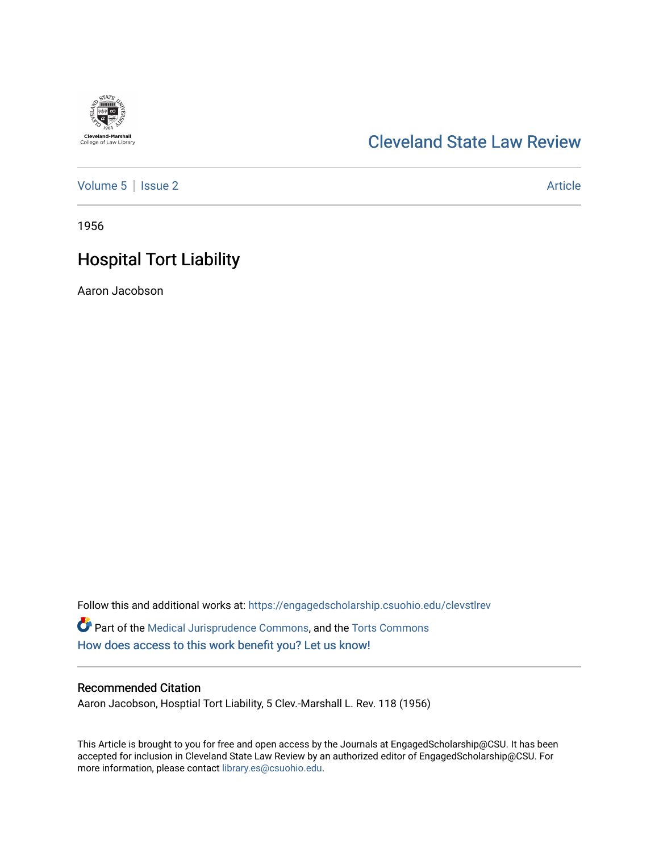# **Cleveland-Marshall**<br>College of Law Library

# [Cleveland State Law Review](https://engagedscholarship.csuohio.edu/clevstlrev)

[Volume 5](https://engagedscholarship.csuohio.edu/clevstlrev/vol5) | [Issue 2](https://engagedscholarship.csuohio.edu/clevstlrev/vol5/iss2) Article

1956

# Hospital Tort Liability

Aaron Jacobson

Follow this and additional works at: [https://engagedscholarship.csuohio.edu/clevstlrev](https://engagedscholarship.csuohio.edu/clevstlrev?utm_source=engagedscholarship.csuohio.edu%2Fclevstlrev%2Fvol5%2Fiss2%2F7&utm_medium=PDF&utm_campaign=PDFCoverPages) Part of the [Medical Jurisprudence Commons,](http://network.bepress.com/hgg/discipline/860?utm_source=engagedscholarship.csuohio.edu%2Fclevstlrev%2Fvol5%2Fiss2%2F7&utm_medium=PDF&utm_campaign=PDFCoverPages) and the [Torts Commons](http://network.bepress.com/hgg/discipline/913?utm_source=engagedscholarship.csuohio.edu%2Fclevstlrev%2Fvol5%2Fiss2%2F7&utm_medium=PDF&utm_campaign=PDFCoverPages)  [How does access to this work benefit you? Let us know!](http://library.csuohio.edu/engaged/)

### Recommended Citation

Aaron Jacobson, Hosptial Tort Liability, 5 Clev.-Marshall L. Rev. 118 (1956)

This Article is brought to you for free and open access by the Journals at EngagedScholarship@CSU. It has been accepted for inclusion in Cleveland State Law Review by an authorized editor of EngagedScholarship@CSU. For more information, please contact [library.es@csuohio.edu](mailto:library.es@csuohio.edu).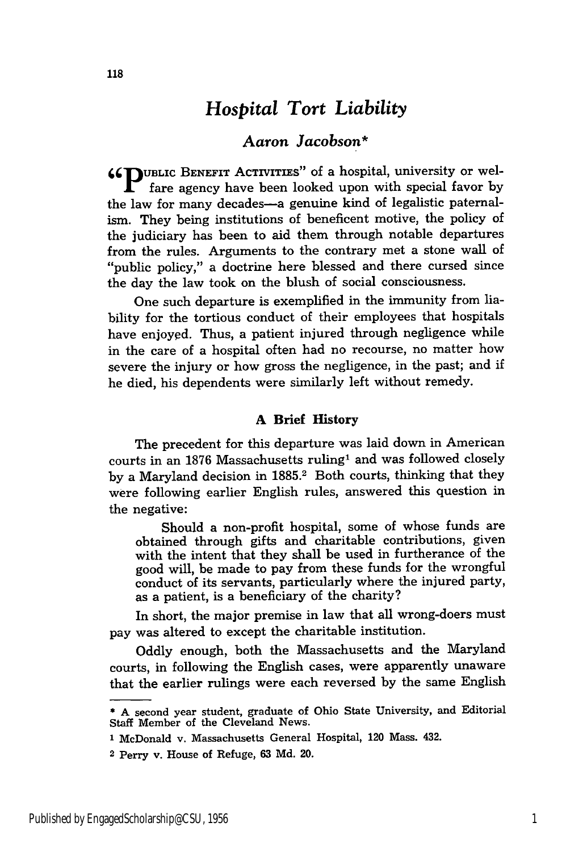## *Hospital Tort Liability*

## *Aaron Jacobson\**

**66fUBLIC** BENEFIT ACTIVITIES" of a hospital, university or welfare agency have been looked upon with special favor by the law for many decades-a genuine kind of legalistic paternalism. They being institutions of beneficent motive, the policy of the judiciary has been to aid them through notable departures from the rules. Arguments to the contrary met a stone wall of "public policy," a doctrine here blessed and there cursed since the day the law took on the blush of social consciousness.

One such departure is exemplified in the immunity from liability for the tortious conduct of their employees that hospitals have enjoyed. Thus, a patient injured through negligence while in the care of a hospital often had no recourse, no matter how severe the injury or how gross the negligence, in the past; and if he died, his dependents were similarly left without remedy.

#### **A Brief History**

The precedent for this departure was laid down in American courts in an 1876 Massachusetts ruling' and was followed closely by a Maryland decision in 1885.<sup>2</sup> Both courts, thinking that they were following earlier English rules, answered this question in the negative:

Should a non-profit hospital, some of whose funds are obtained through gifts and charitable contributions, given with the intent that they shall be used in furtherance of the good will, be made to pay from these funds for the wrongful conduct of its servants, particularly where the injured party, as a patient, is a beneficiary of the charity?

In short, the major premise in law that all wrong-doers must pay was altered to except the charitable institution.

Oddly enough, both the Massachusetts and the Maryland courts, in following the English cases, were apparently unaware that the earlier rulings were each reversed by the same English

<sup>\*</sup> A second year student, graduate of Ohio State University, and Editorial Staff Member of the Cleveland News.

**<sup>1</sup>** McDonald v. Massachusetts General Hospital, 120 Mass. 432.

<sup>2</sup> Perry v. House of Refuge, 63 Md. 20.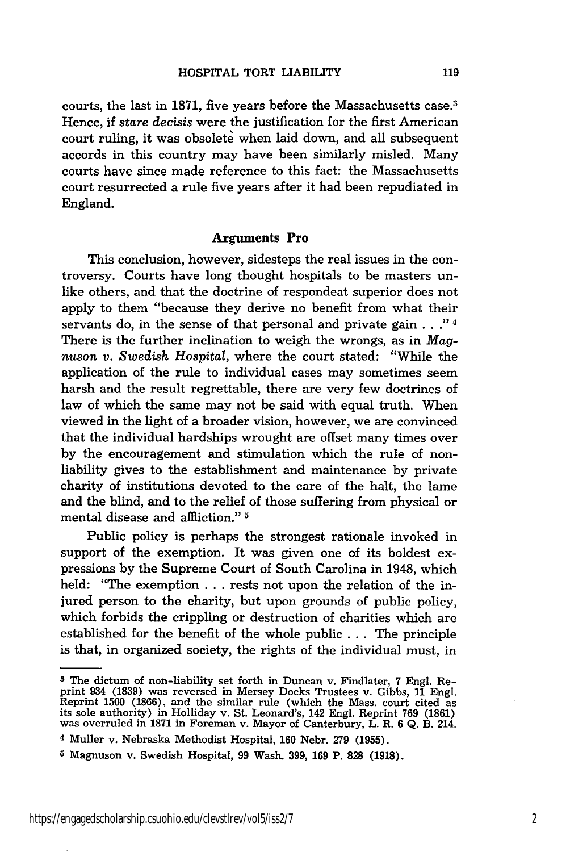courts, the last in 1871, five years before the Massachusetts case.3 Hence, if *stare decisis* were the justification for the first American court ruling, it was obsolete when laid down, and all subsequent accords in this country may have been similarly misled. Many courts have since made reference to this fact: the Massachusetts court resurrected a rule five years after it had been repudiated in England.

#### **Arguments Pro**

This conclusion, however, sidesteps the real issues in the controversy. Courts have long thought hospitals to be masters unlike others, and that the doctrine of respondeat superior does not apply to them "because they derive no benefit from what their servants do, in the sense of that personal and private gain . . ." **4** There is the further inclination to weigh the wrongs, as in *Magnuson v. Swedish Hospital,* where the court stated: "While the application of the rule to individual cases may sometimes seem harsh and the result regrettable, there are very few doctrines of law of which the same may not be said with equal truth. When viewed in the light of a broader vision, however, we are convinced that the individual hardships wrought are offset many times over by the encouragement and stimulation which the rule of nonliability gives to the establishment and maintenance by private charity of institutions devoted to the care of the halt, the lame and the blind, and to the relief of those suffering from physical or mental disease and affliction." **5**

Public policy is perhaps the strongest rationale invoked in support of the exemption. It was given one of its boldest expressions by the Supreme Court of South Carolina in 1948, which held: "The exemption ... rests not upon the relation of the injured person to the charity, but upon grounds of public policy, which forbids the crippling or destruction of charities which are established for the benefit of the whole public ... The principle is that, in organized society, the rights of the individual must, in

**<sup>3</sup>** The dictum of non-liability set forth in Duncan v. Findlater, **7** Engl. Re-print 934 (1839) was reversed in Mersey Docks Trustees v. Gibbs, 11 Engl. Reprint 1500 (1866), and the similar rule (which the Mass. court cited as<br>its sole authority) in Holliday v. St. Leonard's, 142 Engl. Reprint 769 (1861)<br>was overruled in 1871 in Foreman v. Mayor of Canterbury, L. R. 6 Q. B

**<sup>4</sup>** Muller v. Nebraska Methodist Hospital, **160** Nebr. 279 (1955).

**<sup>5</sup>** Magnuson v. Swedish Hospital, **99** Wash. **399, 169** P. **828 (1918).**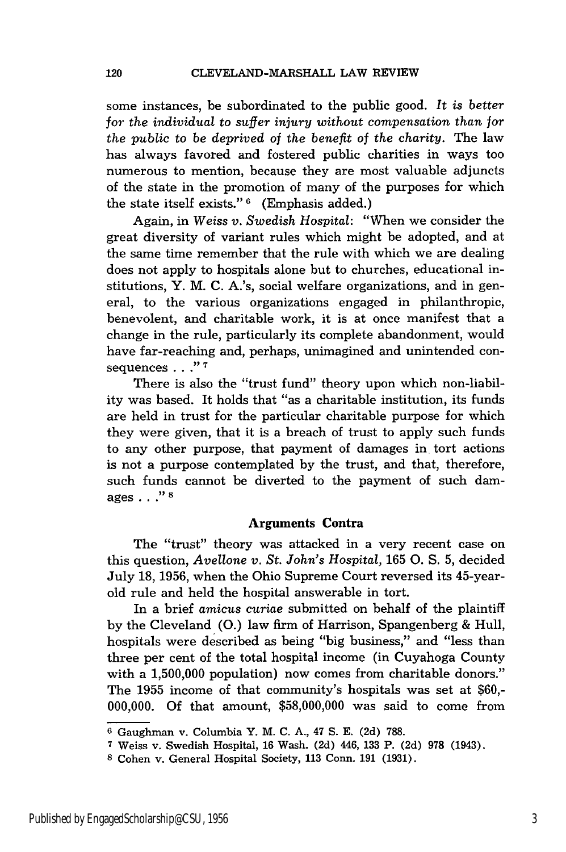some instances, be subordinated to the public good. *It is better for the individual* to *suffer injury without compensation than for the public to be deprived of the benefit* of *the charity.* The law has always favored and fostered public charities in ways too numerous to mention, because they are most valuable adjuncts of the state in the promotion of many of the purposes for which the state itself exists." **6** (Emphasis added.)

Again, in *Weiss v. Swedish Hospital:* "When we consider the great diversity of variant rules which might be adopted, and at the same time remember that the rule with which we are dealing does not apply to hospitals alone but to churches, educational institutions, Y. M. C. A.'s, social welfare organizations, and in general, to the various organizations engaged in philanthropic, benevolent, and charitable work, it is at once manifest that a change in the rule, particularly its complete abandonment, would have far-reaching and, perhaps, unimagined and unintended consequences . . .<sup>"7</sup>

There is also the "trust fund" theory upon which non-liability was based. It holds that "as a charitable institution, its funds are held in trust for the particular charitable purpose for which they were given, that it is a breach of trust to apply such funds to any other purpose, that payment of damages in tort actions is not a purpose contemplated by the trust, and that, therefore, such funds cannot be diverted to the payment of such damages.. **8**

#### Arguments Contra

The "trust" theory was attacked in a very recent case on this question, *Avellone v. St. John's Hospital,* 165 **0.** S. 5, decided July 18, 1956, when the Ohio Supreme Court reversed its 45-yearold rule and held the hospital answerable in tort.

In a brief *amicus curiae* submitted on behalf of the plaintiff by the Cleveland (0.) law firm of Harrison, Spangenberg & Hull, hospitals were described as being "big business," and "less than three per cent of the total hospital income (in Cuyahoga County with a 1,500,000 population) now comes from charitable donors." The 1955 income of that community's hospitals was set at \$60,- 000,000. Of that amount, \$58,000,000 was said to come from

**<sup>6</sup>**Gaughman v. Columbia Y. M. C. A., 47 S. E. (2d) 788.

**<sup>7</sup>** Weiss v. Swedish Hospital, 16 Wash. (2d) 446, 133 P. (2d) 978 (1943).

**<sup>8</sup>** Cohen v. General Hospital Society, 113 Conn. 191 (1931).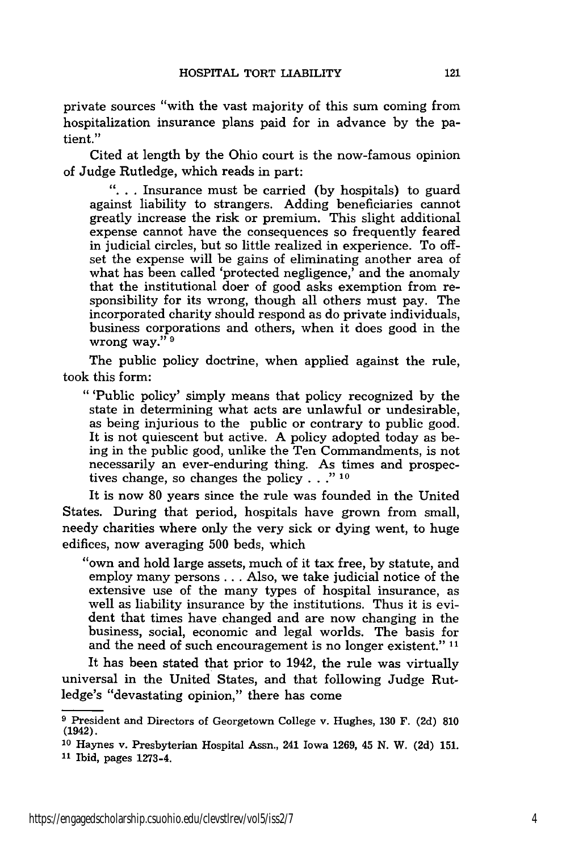private sources "with the vast majority of this sum coming from hospitalization insurance plans paid for in advance by the patient."

Cited at length by the Ohio court is the now-famous opinion of Judge Rutledge, which reads in part:

**"...** Insurance must be carried (by hospitals) to guard against liability to strangers. Adding beneficiaries cannot greatly increase the risk or premium. This slight additional expense cannot have the consequences so frequently feared in judicial circles, but so little realized in experience. To offset the expense will be gains of eliminating another area of what has been called 'protected negligence,' and the anomaly that the institutional doer of good asks exemption from responsibility for its wrong, though all others must pay. The incorporated charity should respond as do private individuals, business corporations and others, when it does good in the wrong way." **9**

The public policy doctrine, when applied against the rule, took this form:

"'Public policy' simply means that policy recognized by the state in determining what acts are unlawful or undesirable, as being injurious to the public or contrary to public good. It is not quiescent but active. A policy adopted today as being in the public good, unlike the Ten Commandments, is not necessarily an ever-enduring thing. As times and prospectives change, so changes the policy. **.. " 10**

It is now 80 years since the rule was founded in the United States. During that period, hospitals have grown from small, needy charities where only the very sick or dying went, to huge edifices, now averaging 500 beds, which

"own and hold large assets, much of it tax free, by statute, and employ many persons... Also, we take judicial notice of the extensive use of the many types of hospital insurance, as well as liability insurance by the institutions. Thus it is evident that times have changed and are now changing in the business, social, economic and legal worlds. The basis for and the need of such encouragement is no longer existent." **11**

It has been stated that prior to 1942, the rule was virtually universal in the United States, and that following Judge Rutledge's "devastating opinion," there has come

**<sup>9</sup>** President and Directors of Georgetown College v. Hughes, 130 F. (2d) 810 (1942).

**<sup>10</sup>**Haynes v. Presbyterian Hospital Assn., 241 Iowa 1269, 45 N. W. (2d) 151. **<sup>11</sup>**Ibid, pages 1273-4.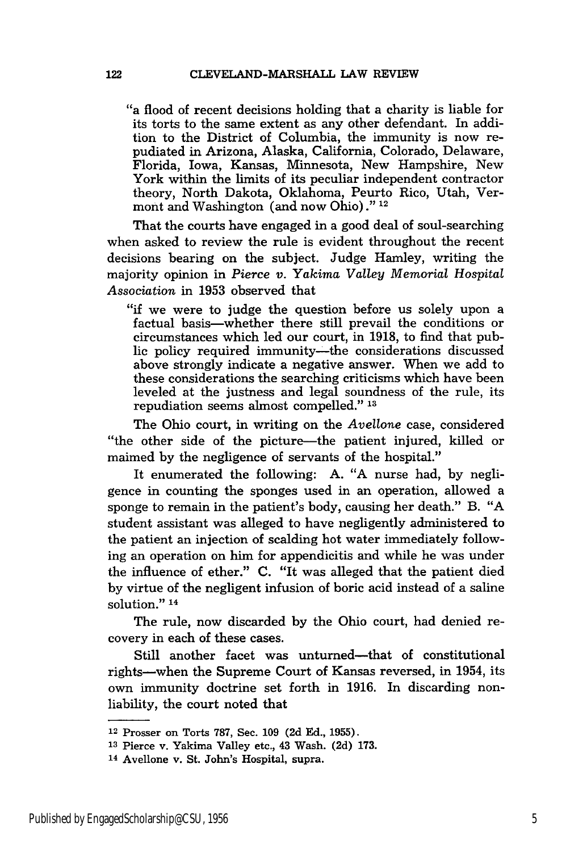"a flood of recent decisions holding that a charity is liable for its torts to the same extent as any other defendant. In addition to the District of Columbia, the immunity is now repudiated in Arizona, Alaska, California, Colorado, Delaware, Florida, Iowa, Kansas, Minnesota, New Hampshire, New York within the limits of its peculiar independent contractor theory, North Dakota, Oklahoma, Peurto Rico, Utah, Vermont and Washington (and now Ohio)." <sup>12</sup>

That the courts have engaged in a good deal of soul-searching when asked to review the rule is evident throughout the recent decisions bearing on the subject. Judge Hamley, writing the majority opinion in *Pierce v. Yakima Valley Memorial Hospital Association* in 1953 observed that

"if we were to judge the question before us solely upon a factual basis-whether there still prevail the conditions or circumstances which led our court, in 1918, to find that public policy required immunity--the considerations discussed above strongly indicate a negative answer. When we add to these considerations the searching criticisms which have been leveled at the justness and legal soundness of the rule, its repudiation seems almost compelled." **<sup>13</sup>**

The Ohio court, in writing on the *Avellone* case, considered "the other side of the picture-the patient injured, killed or maimed by the negligence of servants of the hospital."

It enumerated the following: A. "A nurse had, by negligence in counting the sponges used in an operation, allowed a sponge to remain in the patient's body, causing her death." B. "A student assistant was alleged to have negligently administered to the patient an injection of scalding hot water immediately following an operation on him for appendicitis and while he was under the influence of ether." C. "It was alleged that the patient died by virtue of the negligent infusion of boric acid instead of a saline solution."<sup>14</sup>

The rule, now discarded by the Ohio court, had denied recovery in each of these cases.

Still another facet was unturned-that of constitutional rights-when the Supreme Court of Kansas reversed, in 1954, its own immunity doctrine set forth in 1916. In discarding nonliability, the court noted that

<sup>12</sup>Prosser on Torts 787, Sec. 109 (2d Ed., 1955).

**<sup>13</sup>**Pierce v. Yakima Valley etc., 43 Wash. (2d) 173.

<sup>14</sup>Avellone v. St. John's Hospital, supra.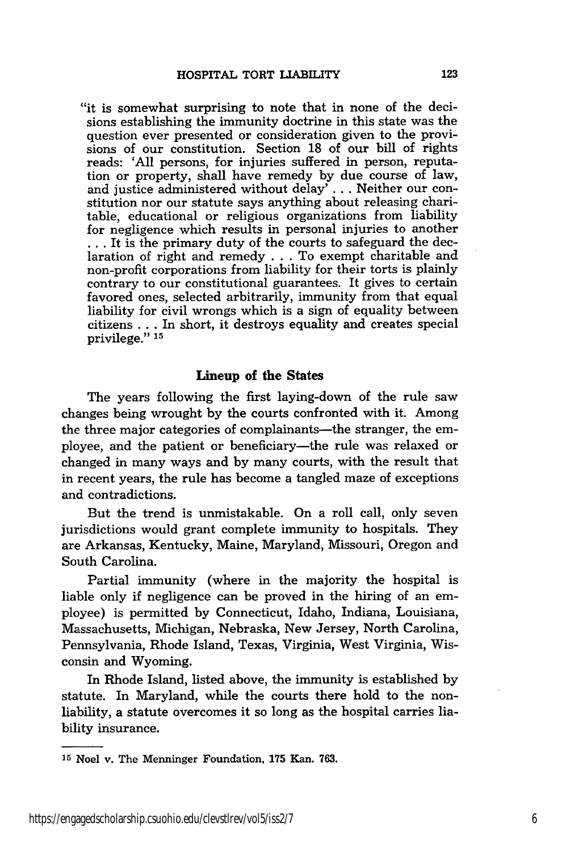"it is somewhat surprising to note that in none of the decisions establishing the immunity doctrine in this state was the question ever presented or consideration given to the provisions of our constitution. Section **18** of our bill of rights reads: 'All persons, for injuries suffered in person, reputation or property, shall have remedy **by** due course of law, and justice administered without delay' . . . Neither our constitution nor our statute says anything about releasing charitable, educational or religious organizations from liability for negligence which results in personal injuries to another **...** It is the primary duty of the courts to safeguard the declaration of right and remedy . . . To exempt charitable and non-profit corporations from liability for their torts is plainly contrary to our constitutional guarantees. It gives to certain favored ones, selected arbitrarily, immunity from that equal liability for civil wrongs which is a sign of equality between citizens ... In short, it destroys equality and creates special privilege." **15**

#### **Lineup of the States**

**The** years following the first laying-down of the rule saw changes being wrought **by** the courts confronted with it. Among the three major categories of complainants-the stranger, the employee, and the patient or beneficiary-the rule was relaxed or changed in many ways and **by** many courts, with the result that in recent years, the rule has become a tangled maze of exceptions and contradictions.

But the trend is unmistakable. On a roll call, only seven jurisdictions would grant complete immunity to hospitals. They are Arkansas, Kentucky, Maine, Maryland, Missouri, Oregon and South Carolina.

Partial immunity (where in the majority the hospital is liable only if negligence can be proved in the hiring of an employee) is permitted by Connecticut, Idaho, Indiana, Louisiana, Massachusetts, Michigan, Nebraska, New Jersey, North Carolina, Pennsylvania, Rhode Island, Texas, Virginia, West Virginia, Wisconsin and Wyoming.

In Rhode Island, listed above, the immunity is established by statute. In Maryland, while the courts there hold to the nonliability, a statute overcomes it so long as the hospital carries liability insurance.

**<sup>15</sup>**Noel v. The Menninger Foundation, **175** Kan. 763.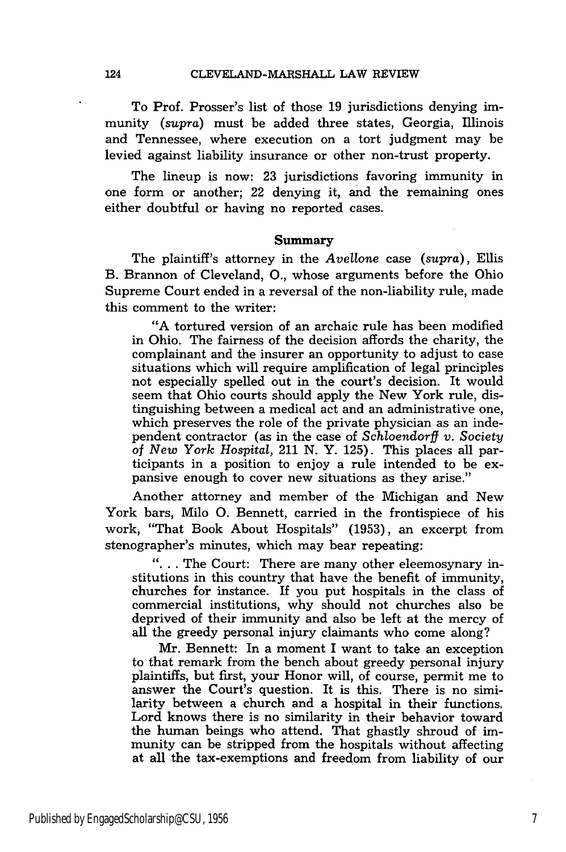To Prof. Prosser's list of those 19 jurisdictions denying immunity *(supra)* must be added three states, Georgia, Illinois and Tennessee, where execution on a tort judgment may be levied against liability insurance or other non-trust property.

The lineup is now: 23 jurisdictions favoring immunity in one form or another; 22 denying it, and the remaining ones either doubtful or having no reported cases.

#### Summary

The plaintiff's attorney in the *Avellone* case (supra), Ellis B. Brannon of Cleveland, **0.,** whose arguments before the Ohio Supreme Court ended in a reversal of the non-liability rule, made this comment to the writer:

"A tortured version of an archaic rule has been modified in Ohio. The fairness of the decision affords the charity, the complainant and the insurer an opportunity to adjust to case situations which will require amplification of legal principles not especially spelled out in the court's decision. It would seem that Ohio courts should apply the New York rule, distinguishing between a medical act and an administrative one, which preserves the role of the private physician as an independent contractor (as in the case of *Schloendorff v. Society of New York Hospital,* 211 N. Y. 125). This places all participants in a position to enjoy a rule intended to be expansive enough to cover new situations as they arise."

Another attorney and member of the Michigan and New York bars, Milo **0.** Bennett, carried in the frontispiece of his work, "That Book About Hospitals" (1953), an excerpt from stenographer's minutes, which may bear repeating:

**"....** The Court: There are many other eleemosynary institutions in this country that have the benefit of immunity, churches for instance. If you put hospitals in the class of commercial institutions, why should not churches also be deprived of their immunity and also be left at the mercy of all the greedy personal injury claimants who come along?

Mr. Bennett: In a moment I want to take an exception to that remark from the bench about greedy personal injury plaintiffs, but first, your Honor will, of course, permit me to answer the Court's question. It is this. There is no similarity between a church and a hospital in their functions. Lord knows there is no similarity in their behavior toward the human beings who attend. That ghastly shroud of immunity can be stripped from the hospitals without affecting at all the tax-exemptions and freedom from liability of our